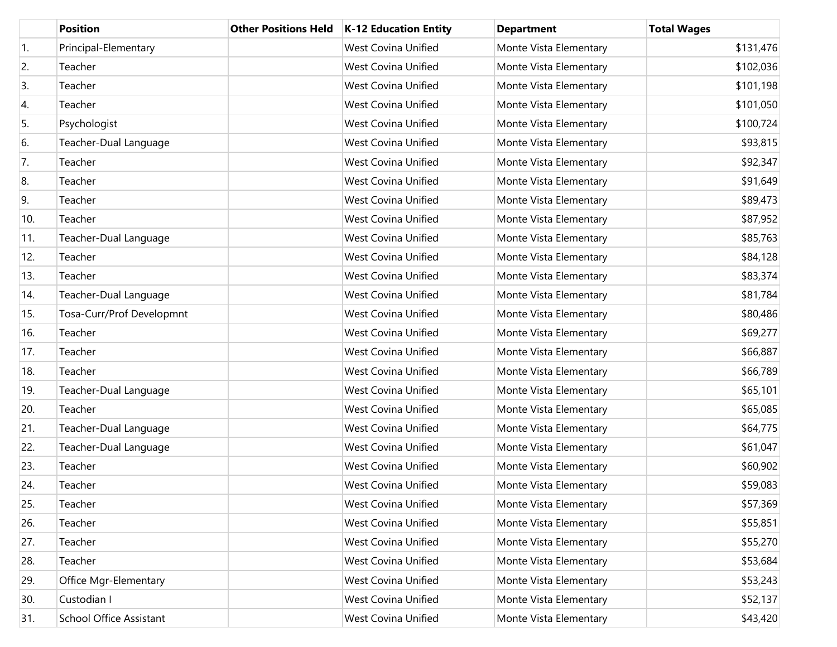|                  | <b>Position</b>                | <b>Other Positions Held</b> | K-12 Education Entity      | <b>Department</b>      | <b>Total Wages</b> |
|------------------|--------------------------------|-----------------------------|----------------------------|------------------------|--------------------|
| $\overline{1}$ . | Principal-Elementary           |                             | <b>West Covina Unified</b> | Monte Vista Elementary | \$131,476          |
| 2.               | Teacher                        |                             | <b>West Covina Unified</b> | Monte Vista Elementary | \$102,036          |
| 3.               | Teacher                        |                             | <b>West Covina Unified</b> | Monte Vista Elementary | \$101,198          |
| 4.               | Teacher                        |                             | <b>West Covina Unified</b> | Monte Vista Elementary | \$101,050          |
| 5.               | Psychologist                   |                             | <b>West Covina Unified</b> | Monte Vista Elementary | \$100,724          |
| 6.               | Teacher-Dual Language          |                             | <b>West Covina Unified</b> | Monte Vista Elementary | \$93,815           |
| 7.               | Teacher                        |                             | <b>West Covina Unified</b> | Monte Vista Elementary | \$92,347           |
| 8.               | Teacher                        |                             | <b>West Covina Unified</b> | Monte Vista Elementary | \$91,649           |
| 9.               | Teacher                        |                             | <b>West Covina Unified</b> | Monte Vista Elementary | \$89,473           |
| 10.              | Teacher                        |                             | <b>West Covina Unified</b> | Monte Vista Elementary | \$87,952           |
| 11.              | Teacher-Dual Language          |                             | <b>West Covina Unified</b> | Monte Vista Elementary | \$85,763           |
| 12.              | Teacher                        |                             | <b>West Covina Unified</b> | Monte Vista Elementary | \$84,128           |
| 13.              | Teacher                        |                             | <b>West Covina Unified</b> | Monte Vista Elementary | \$83,374           |
| 14.              | Teacher-Dual Language          |                             | <b>West Covina Unified</b> | Monte Vista Elementary | \$81,784           |
| 15.              | Tosa-Curr/Prof Developmnt      |                             | <b>West Covina Unified</b> | Monte Vista Elementary | \$80,486           |
| 16.              | Teacher                        |                             | <b>West Covina Unified</b> | Monte Vista Elementary | \$69,277           |
| 17.              | Teacher                        |                             | <b>West Covina Unified</b> | Monte Vista Elementary | \$66,887           |
| 18.              | Teacher                        |                             | <b>West Covina Unified</b> | Monte Vista Elementary | \$66,789           |
| 19.              | Teacher-Dual Language          |                             | <b>West Covina Unified</b> | Monte Vista Elementary | \$65,101           |
| 20.              | Teacher                        |                             | <b>West Covina Unified</b> | Monte Vista Elementary | \$65,085           |
| 21.              | Teacher-Dual Language          |                             | <b>West Covina Unified</b> | Monte Vista Elementary | \$64,775           |
| 22.              | Teacher-Dual Language          |                             | <b>West Covina Unified</b> | Monte Vista Elementary | \$61,047           |
| 23.              | Teacher                        |                             | <b>West Covina Unified</b> | Monte Vista Elementary | \$60,902           |
| 24.              | Teacher                        |                             | <b>West Covina Unified</b> | Monte Vista Elementary | \$59,083           |
| 25.              | Teacher                        |                             | West Covina Unified        | Monte Vista Elementary | \$57,369           |
| 26.              | Teacher                        |                             | West Covina Unified        | Monte Vista Elementary | \$55,851           |
| 27.              | Teacher                        |                             | West Covina Unified        | Monte Vista Elementary | \$55,270           |
| 28.              | Teacher                        |                             | West Covina Unified        | Monte Vista Elementary | \$53,684           |
| 29.              | Office Mgr-Elementary          |                             | West Covina Unified        | Monte Vista Elementary | \$53,243           |
| 30.              | Custodian I                    |                             | West Covina Unified        | Monte Vista Elementary | \$52,137           |
| 31.              | <b>School Office Assistant</b> |                             | West Covina Unified        | Monte Vista Elementary | \$43,420           |